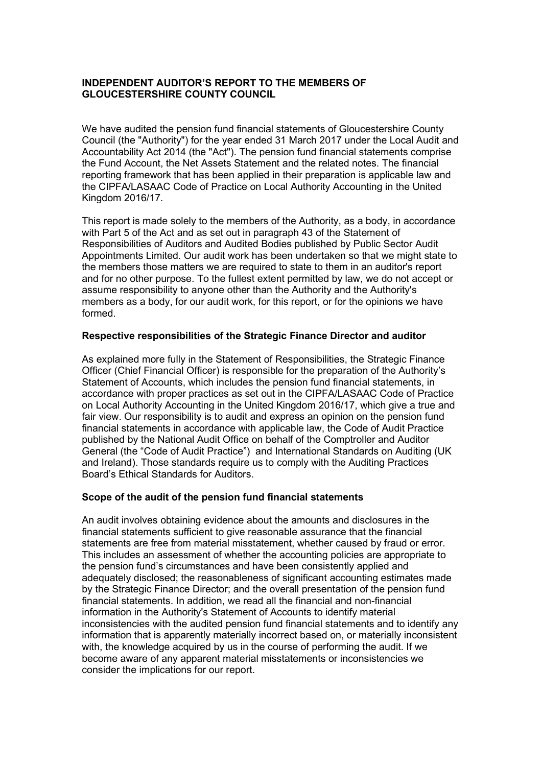# INDEPENDENT AUDITOR'S REPORT TO THE MEMBERS OF GLOUCESTERSHIRE COUNTY COUNCIL

We have audited the pension fund financial statements of Gloucestershire County Council (the "Authority") for the year ended 31 March 2017 under the Local Audit and Accountability Act 2014 (the "Act"). The pension fund financial statements comprise the Fund Account, the Net Assets Statement and the related notes. The financial reporting framework that has been applied in their preparation is applicable law and the CIPFA/LASAAC Code of Practice on Local Authority Accounting in the United Kingdom 2016/17.

This report is made solely to the members of the Authority, as a body, in accordance with Part 5 of the Act and as set out in paragraph 43 of the Statement of Responsibilities of Auditors and Audited Bodies published by Public Sector Audit Appointments Limited. Our audit work has been undertaken so that we might state to the members those matters we are required to state to them in an auditor's report and for no other purpose. To the fullest extent permitted by law, we do not accept or assume responsibility to anyone other than the Authority and the Authority's members as a body, for our audit work, for this report, or for the opinions we have formed.

### Respective responsibilities of the Strategic Finance Director and auditor

As explained more fully in the Statement of Responsibilities, the Strategic Finance Officer (Chief Financial Officer) is responsible for the preparation of the Authority's Statement of Accounts, which includes the pension fund financial statements, in accordance with proper practices as set out in the CIPFA/LASAAC Code of Practice on Local Authority Accounting in the United Kingdom 2016/17, which give a true and fair view. Our responsibility is to audit and express an opinion on the pension fund financial statements in accordance with applicable law, the Code of Audit Practice published by the National Audit Office on behalf of the Comptroller and Auditor General (the "Code of Audit Practice") and International Standards on Auditing (UK and Ireland). Those standards require us to comply with the Auditing Practices Board's Ethical Standards for Auditors.

### Scope of the audit of the pension fund financial statements

An audit involves obtaining evidence about the amounts and disclosures in the financial statements sufficient to give reasonable assurance that the financial statements are free from material misstatement, whether caused by fraud or error. This includes an assessment of whether the accounting policies are appropriate to the pension fund's circumstances and have been consistently applied and adequately disclosed; the reasonableness of significant accounting estimates made by the Strategic Finance Director; and the overall presentation of the pension fund financial statements. In addition, we read all the financial and non-financial information in the Authority's Statement of Accounts to identify material inconsistencies with the audited pension fund financial statements and to identify any information that is apparently materially incorrect based on, or materially inconsistent with, the knowledge acquired by us in the course of performing the audit. If we become aware of any apparent material misstatements or inconsistencies we consider the implications for our report.